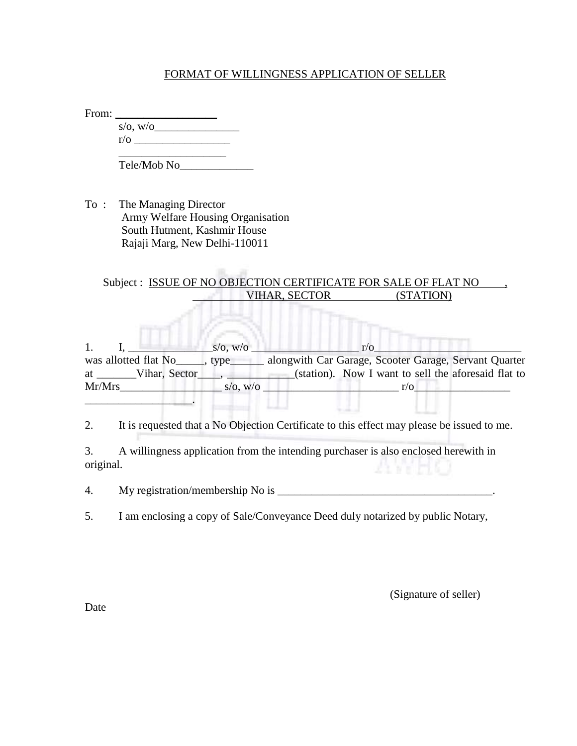## FORMAT OF WILLINGNESS APPLICATION OF SELLER

| From: |            |  |
|-------|------------|--|
|       | s/o, w/o   |  |
|       | $r/\sigma$ |  |
|       |            |  |

Tele/Mob No\_\_\_\_\_\_\_\_\_\_\_\_\_

To : The Managing Director Army Welfare Housing Organisation South Hutment, Kashmir House Rajaji Marg, New Delhi-110011

## Subject : ISSUE OF NO OBJECTION CERTIFICATE FOR SALE OF FLAT NO VIHAR, SECTOR (STATION)

1. I,  $S/O, W/O$   $r/O$ was allotted flat No<sub>cky</sub>, type alongwith Car Garage, Scooter Garage, Servant Quarter at Vihar, Sector  $\overline{\phantom{a}}$ , (station). Now I want to sell the aforesaid flat to  $Mr/Mrs$  s/o, w/o  $r/\sqrt{r}$ \_\_\_\_\_\_\_\_\_\_\_\_\_\_\_\_\_\_\_.

2. It is requested that a No Objection Certificate to this effect may please be issued to me.

3. A willingness application from the intending purchaser is also enclosed herewith in original.

4. My registration/membership No is \_\_\_\_\_\_\_\_\_\_\_\_\_\_\_\_\_\_\_\_\_\_\_\_\_\_\_\_\_\_\_\_\_\_\_\_\_\_.

5. I am enclosing a copy of Sale/Conveyance Deed duly notarized by public Notary,

(Signature of seller)

Date